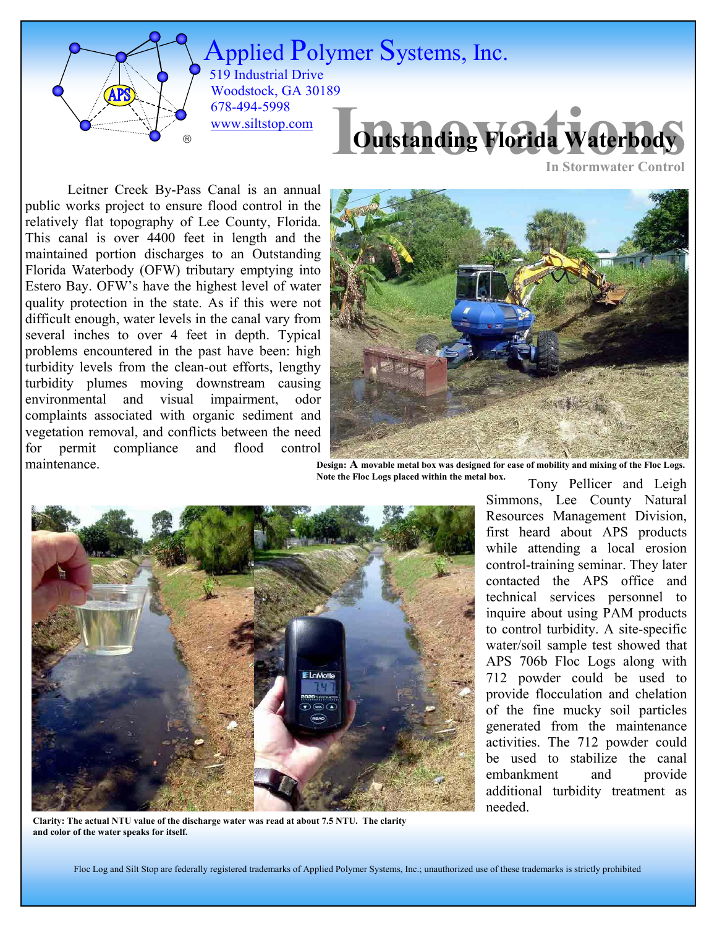

 519 Industrial Drive Applied Polymer Systems, Inc. Woodstock, GA 30189 678-494-5998 [www.siltstop.com](http://www.siltstop.com/)



**In Stormwater Control**

Leitner Creek By-Pass Canal is an annual public works project to ensure flood control in the relatively flat topography of Lee County, Florida. This canal is over 4400 feet in length and the maintained portion discharges to an Outstanding Florida Waterbody (OFW) tributary emptying into Estero Bay. OFW's have the highest level of water quality protection in the state. As if this were not difficult enough, water levels in the canal vary from several inches to over 4 feet in depth. Typical problems encountered in the past have been: high turbidity levels from the clean-out efforts, lengthy turbidity plumes moving downstream causing environmental and visual impairment, odor complaints associated with organic sediment and vegetation removal, and conflicts between the need for permit compliance and flood control maintenance.



 Tony Pellicer and Leigh **Design: A movable metal box was designed for ease of mobility and mixing of the Floc Logs. Note the Floc Logs placed within the metal box.** 



**Clarity: The actual NTU value of the discharge water was read at about 7.5 NTU. The clarity and color of the water speaks for itself.** 

Simmons, Lee County Natural Resources Management Division, first heard about APS products while attending a local erosion control-training seminar. They later contacted the APS office and technical services personnel to inquire about using PAM products to control turbidity. A site-specific water/soil sample test showed that APS 706b Floc Logs along with 712 powder could be used to provide flocculation and chelation of the fine mucky soil particles generated from the maintenance activities. The 712 powder could be used to stabilize the canal embankment and provide additional turbidity treatment as needed.

Floc Log and Silt Stop are federally registered trademarks of Applied Polymer Systems, Inc.; unauthorized use of these trademarks is strictly prohibited